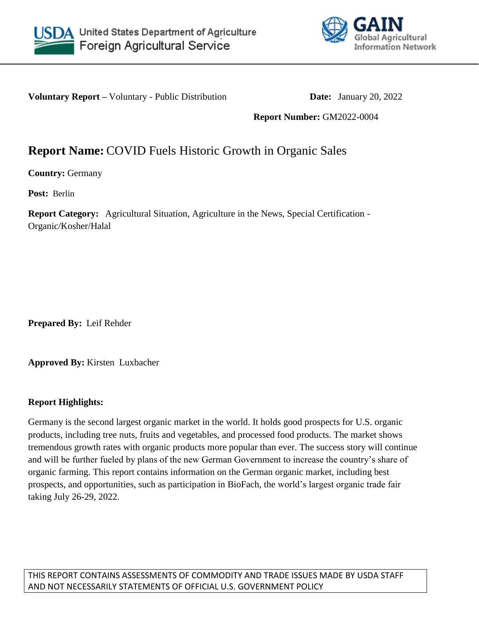



**Voluntary Report –** Voluntary - Public Distribution **Date:** January 20, 2022

**Report Number:** GM2022-0004

# **Report Name:** COVID Fuels Historic Growth in Organic Sales

**Country:** Germany

**Post:** Berlin

**Report Category:** Agricultural Situation, Agriculture in the News, Special Certification - Organic/Kosher/Halal

**Prepared By:** Leif Rehder

**Approved By:** Kirsten Luxbacher

## **Report Highlights:**

Germany is the second largest organic market in the world. It holds good prospects for U.S. organic products, including tree nuts, fruits and vegetables, and processed food products. The market shows tremendous growth rates with organic products more popular than ever. The success story will continue and will be further fueled by plans of the new German Government to increase the country's share of organic farming. This report contains information on the German organic market, including best prospects, and opportunities, such as participation in BioFach, the world's largest organic trade fair taking July 26-29, 2022.

THIS REPORT CONTAINS ASSESSMENTS OF COMMODITY AND TRADE ISSUES MADE BY USDA STAFF AND NOT NECESSARILY STATEMENTS OF OFFICIAL U.S. GOVERNMENT POLICY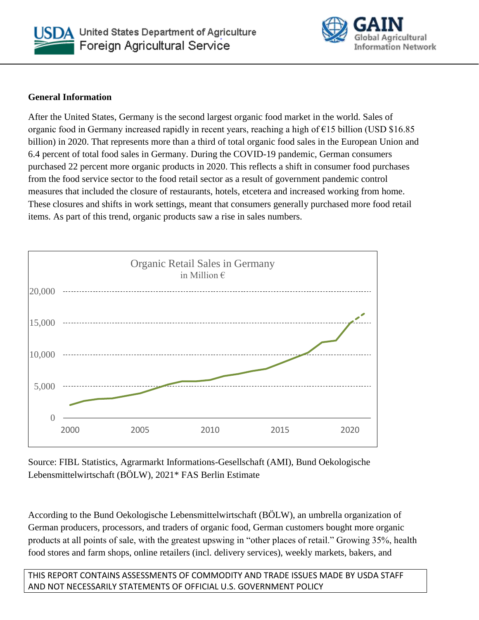



#### **General Information**

After the United States, Germany is the second largest organic food market in the world. Sales of organic food in Germany increased rapidly in recent years, reaching a high of €15 billion (USD \$16.85 billion) in 2020. That represents more than a third of total organic food sales in the European Union and 6.4 percent of total food sales in Germany. During the COVID-19 pandemic, German consumers purchased 22 percent more organic products in 2020. This reflects a shift in consumer food purchases from the food service sector to the food retail sector as a result of government pandemic control measures that included the closure of restaurants, hotels, etcetera and increased working from home. These closures and shifts in work settings, meant that consumers generally purchased more food retail items. As part of this trend, organic products saw a rise in sales numbers.



Source: FIBL Statistics, Agrarmarkt Informations-Gesellschaft (AMI), Bund Oekologische Lebensmittelwirtschaft (BÖLW), 2021\* FAS Berlin Estimate

According to the Bund Oekologische Lebensmittelwirtschaft (BÖLW), an umbrella organization of German producers, processors, and traders of organic food, German customers bought more organic products at all points of sale, with the greatest upswing in "other places of retail." Growing 35%, health food stores and farm shops, online retailers (incl. delivery services), weekly markets, bakers, and

THIS REPORT CONTAINS ASSESSMENTS OF COMMODITY AND TRADE ISSUES MADE BY USDA STAFF AND NOT NECESSARILY STATEMENTS OF OFFICIAL U.S. GOVERNMENT POLICY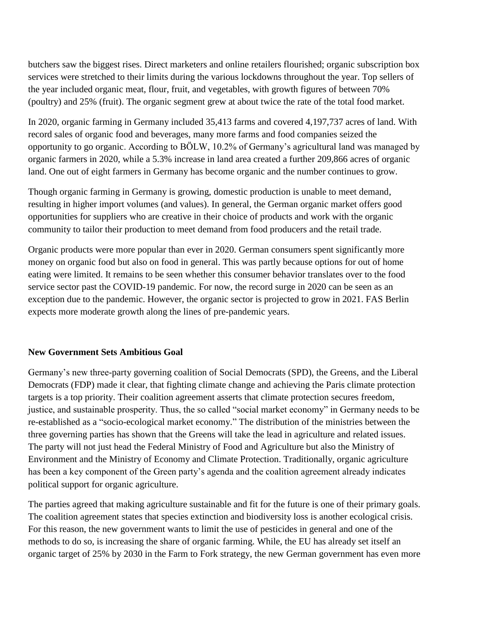butchers saw the biggest rises. Direct marketers and online retailers flourished; organic subscription box services were stretched to their limits during the various lockdowns throughout the year. Top sellers of the year included organic meat, flour, fruit, and vegetables, with growth figures of between 70% (poultry) and 25% (fruit). The organic segment grew at about twice the rate of the total food market.

In 2020, organic farming in Germany included 35,413 farms and covered 4,197,737 acres of land. With record sales of organic food and beverages, many more farms and food companies seized the opportunity to go organic. According to BÖLW, 10.2% of Germany's agricultural land was managed by organic farmers in 2020, while a 5.3% increase in land area created a further 209,866 acres of organic land. One out of eight farmers in Germany has become organic and the number continues to grow.

Though organic farming in Germany is growing, domestic production is unable to meet demand, resulting in higher import volumes (and values). In general, the German organic market offers good opportunities for suppliers who are creative in their choice of products and work with the organic community to tailor their production to meet demand from food producers and the retail trade.

Organic products were more popular than ever in 2020. German consumers spent significantly more money on organic food but also on food in general. This was partly because options for out of home eating were limited. It remains to be seen whether this consumer behavior translates over to the food service sector past the COVID-19 pandemic. For now, the record surge in 2020 can be seen as an exception due to the pandemic. However, the organic sector is projected to grow in 2021. FAS Berlin expects more moderate growth along the lines of pre-pandemic years.

#### **New Government Sets Ambitious Goal**

Germany's new three-party governing coalition of Social Democrats (SPD), the Greens, and the Liberal Democrats (FDP) made it clear, that fighting climate change and achieving the Paris climate protection targets is a top priority. Their coalition agreement asserts that climate protection secures freedom, justice, and sustainable prosperity. Thus, the so called "social market economy" in Germany needs to be re-established as a "socio-ecological market economy." The distribution of the ministries between the three governing parties has shown that the Greens will take the lead in agriculture and related issues. The party will not just head the Federal Ministry of Food and Agriculture but also the Ministry of Environment and the Ministry of Economy and Climate Protection. Traditionally, organic agriculture has been a key component of the Green party's agenda and the coalition agreement already indicates political support for organic agriculture.

The parties agreed that making agriculture sustainable and fit for the future is one of their primary goals. The coalition agreement states that species extinction and biodiversity loss is another ecological crisis. For this reason, the new government wants to limit the use of pesticides in general and one of the methods to do so, is increasing the share of organic farming. While, the EU has already set itself an organic target of 25% by 2030 in the Farm to Fork strategy, the new German government has even more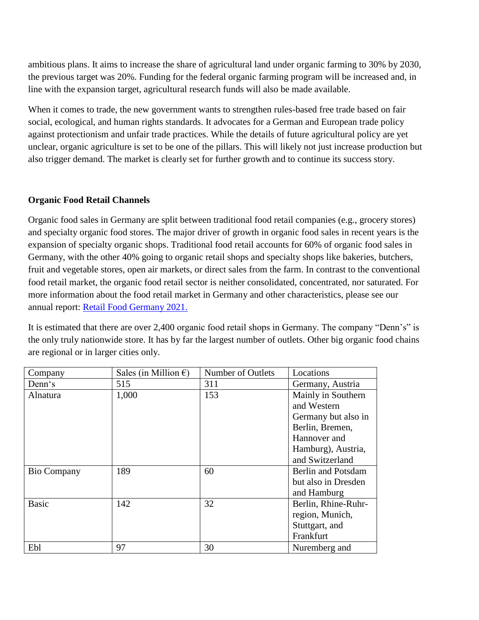ambitious plans. It aims to increase the share of agricultural land under organic farming to 30% by 2030, the previous target was 20%. Funding for the federal organic farming program will be increased and, in line with the expansion target, agricultural research funds will also be made available.

When it comes to trade, the new government wants to strengthen rules-based free trade based on fair social, ecological, and human rights standards. It advocates for a German and European trade policy against protectionism and unfair trade practices. While the details of future agricultural policy are yet unclear, organic agriculture is set to be one of the pillars. This will likely not just increase production but also trigger demand. The market is clearly set for further growth and to continue its success story.

#### **Organic Food Retail Channels**

Organic food sales in Germany are split between traditional food retail companies (e.g., grocery stores) and specialty organic food stores. The major driver of growth in organic food sales in recent years is the expansion of specialty organic shops. Traditional food retail accounts for 60% of organic food sales in Germany, with the other 40% going to organic retail shops and specialty shops like bakeries, butchers, fruit and vegetable stores, open air markets, or direct sales from the farm. In contrast to the conventional food retail market, the organic food retail sector is neither consolidated, concentrated, nor saturated. For more information about the food retail market in Germany and other characteristics, please see our annual report: [Retail Food Germany 2021.](https://fas-europe.org/downloads/71/germany/4159/retail-foods-germany-2021.pdf)

It is estimated that there are over 2,400 organic food retail shops in Germany. The company "Denn's" is the only truly nationwide store. It has by far the largest number of outlets. Other big organic food chains are regional or in larger cities only.

| Company            | Sales (in Million $\epsilon$ ) | Number of Outlets | Locations           |
|--------------------|--------------------------------|-------------------|---------------------|
| Denn's             | 515                            | 311               | Germany, Austria    |
| Alnatura           | 1,000                          | 153               | Mainly in Southern  |
|                    |                                |                   | and Western         |
|                    |                                |                   | Germany but also in |
|                    |                                |                   | Berlin, Bremen,     |
|                    |                                |                   | Hannover and        |
|                    |                                |                   | Hamburg), Austria,  |
|                    |                                |                   | and Switzerland     |
| <b>Bio Company</b> | 189                            | 60                | Berlin and Potsdam  |
|                    |                                |                   | but also in Dresden |
|                    |                                |                   | and Hamburg         |
| <b>Basic</b>       | 142                            | 32                | Berlin, Rhine-Ruhr- |
|                    |                                |                   | region, Munich,     |
|                    |                                |                   | Stuttgart, and      |
|                    |                                |                   | Frankfurt           |
| Ebl                | 97                             | 30                | Nuremberg and       |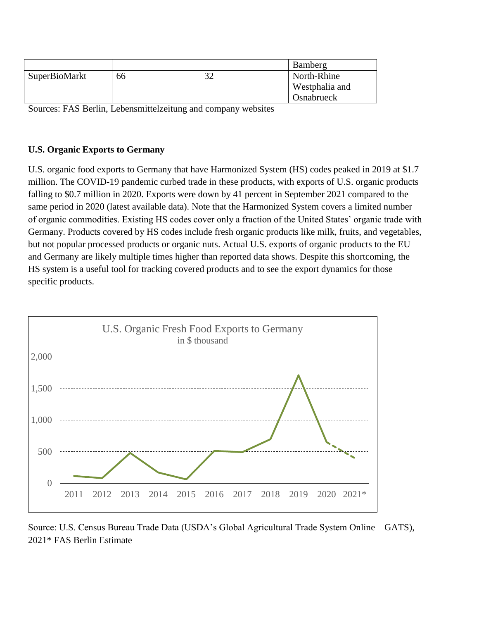|               |    |                    | Bamberg        |
|---------------|----|--------------------|----------------|
| SuperBioMarkt | 66 | $2^{\circ}$<br>ے ر | North-Rhine    |
|               |    |                    | Westphalia and |
|               |    |                    | Osnabrueck     |

Sources: FAS Berlin, Lebensmittelzeitung and company websites

#### **U.S. Organic Exports to Germany**

U.S. organic food exports to Germany that have Harmonized System (HS) codes peaked in 2019 at \$1.7 million. The COVID-19 pandemic curbed trade in these products, with exports of U.S. organic products falling to \$0.7 million in 2020. Exports were down by 41 percent in September 2021 compared to the same period in 2020 (latest available data). Note that the Harmonized System covers a limited number of organic commodities. Existing HS codes cover only a fraction of the United States' organic trade with Germany. Products covered by HS codes include fresh organic products like milk, fruits, and vegetables, but not popular processed products or organic nuts. Actual U.S. exports of organic products to the EU and Germany are likely multiple times higher than reported data shows. Despite this shortcoming, the HS system is a useful tool for tracking covered products and to see the export dynamics for those specific products.



Source: U.S. Census Bureau Trade Data (USDA's Global Agricultural Trade System Online – GATS), 2021\* FAS Berlin Estimate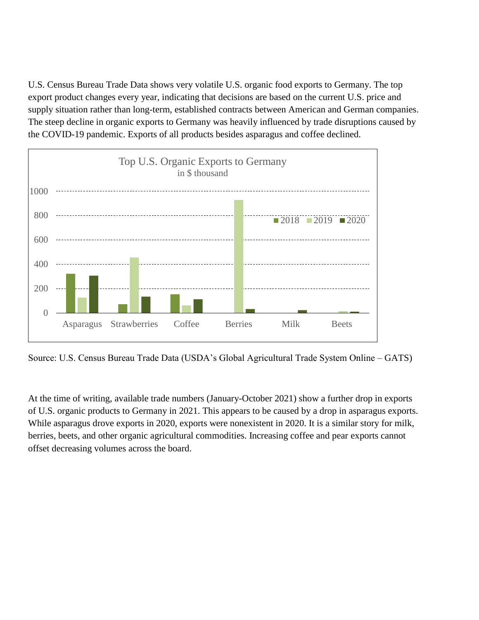U.S. Census Bureau Trade Data shows very volatile U.S. organic food exports to Germany. The top export product changes every year, indicating that decisions are based on the current U.S. price and supply situation rather than long-term, established contracts between American and German companies. The steep decline in organic exports to Germany was heavily influenced by trade disruptions caused by the COVID-19 pandemic. Exports of all products besides asparagus and coffee declined.



Source: U.S. Census Bureau Trade Data (USDA's Global Agricultural Trade System Online – GATS)

At the time of writing, available trade numbers (January-October 2021) show a further drop in exports of U.S. organic products to Germany in 2021. This appears to be caused by a drop in asparagus exports. While asparagus drove exports in 2020, exports were nonexistent in 2020. It is a similar story for milk, berries, beets, and other organic agricultural commodities. Increasing coffee and pear exports cannot offset decreasing volumes across the board.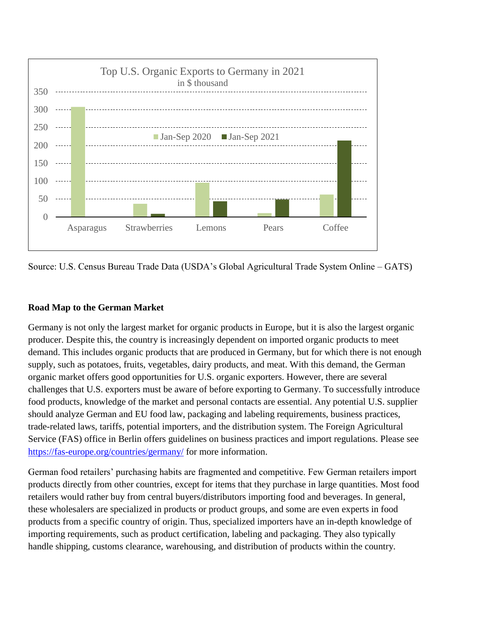

Source: U.S. Census Bureau Trade Data (USDA's Global Agricultural Trade System Online – GATS)

## **Road Map to the German Market**

Germany is not only the largest market for organic products in Europe, but it is also the largest organic producer. Despite this, the country is increasingly dependent on imported organic products to meet demand. This includes organic products that are produced in Germany, but for which there is not enough supply, such as potatoes, fruits, vegetables, dairy products, and meat. With this demand, the German organic market offers good opportunities for U.S. organic exporters. However, there are several challenges that U.S. exporters must be aware of before exporting to Germany. To successfully introduce food products, knowledge of the market and personal contacts are essential. Any potential U.S. supplier should analyze German and EU food law, packaging and labeling requirements, business practices, trade-related laws, tariffs, potential importers, and the distribution system. The Foreign Agricultural Service (FAS) office in Berlin offers guidelines on business practices and import regulations. Please see <https://fas-europe.org/countries/germany/> for more information.

German food retailers' purchasing habits are fragmented and competitive. Few German retailers import products directly from other countries, except for items that they purchase in large quantities. Most food retailers would rather buy from central buyers/distributors importing food and beverages. In general, these wholesalers are specialized in products or product groups, and some are even experts in food products from a specific country of origin. Thus, specialized importers have an in-depth knowledge of importing requirements, such as product certification, labeling and packaging. They also typically handle shipping, customs clearance, warehousing, and distribution of products within the country.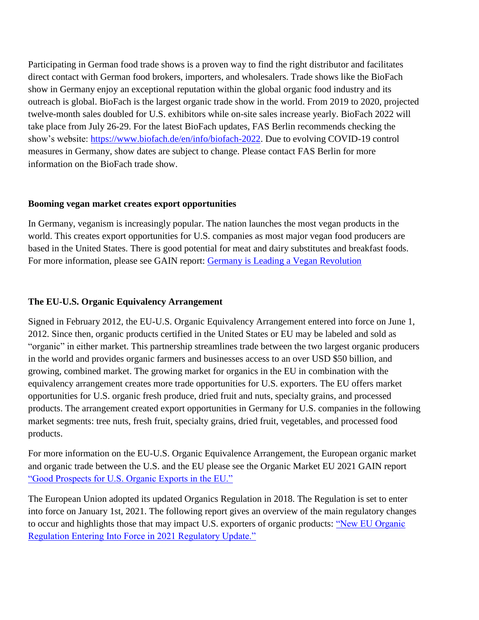Participating in German food trade shows is a proven way to find the right distributor and facilitates direct contact with German food brokers, importers, and wholesalers. Trade shows like the BioFach show in Germany enjoy an exceptional reputation within the global organic food industry and its outreach is global. BioFach is the largest organic trade show in the world. From 2019 to 2020, projected twelve-month sales doubled for U.S. exhibitors while on-site sales increase yearly. BioFach 2022 will take place from July 26-29. For the latest BioFach updates, FAS Berlin recommends checking the show's website: [https://www.biofach.de/en/info/biofach-2022.](https://www.biofach.de/en/info/biofach-2022) Due to evolving COVID-19 control measures in Germany, show dates are subject to change. Please contact FAS Berlin for more information on the BioFach trade show.

#### **Booming vegan market creates export opportunities**

In Germany, veganism is increasingly popular. The nation launches the most vegan products in the world. This creates export opportunities for U.S. companies as most major vegan food producers are based in the United States. There is good potential for meat and dairy substitutes and breakfast foods. For more information, please see GAIN report: [Germany is Leading a Vegan Revolution](https://fas-europe.org/downloads/71/germany/3853/germany-is-leading-a-vegan-revolution-germany-2020.pdf)

## **The EU-U.S. Organic Equivalency Arrangement**

Signed in February 2012, the EU-U.S. Organic Equivalency Arrangement entered into force on June 1, 2012. Since then, organic products certified in the United States or EU may be labeled and sold as "organic" in either market. This partnership streamlines trade between the two largest organic producers in the world and provides organic farmers and businesses access to an over USD \$50 billion, and growing, combined market. The growing market for organics in the EU in combination with the equivalency arrangement creates more trade opportunities for U.S. exporters. The EU offers market opportunities for U.S. organic fresh produce, dried fruit and nuts, specialty grains, and processed products. The arrangement created export opportunities in Germany for U.S. companies in the following market segments: tree nuts, fresh fruit, specialty grains, dried fruit, vegetables, and processed food products.

For more information on the EU-U.S. Organic Equivalence Arrangement, the European organic market and organic trade between the U.S. and the EU please see the Organic Market EU 2021 GAIN report ["Good Prospects for U.S. Organic Exports in the EU."](https://fas-europe.org/downloads/121/european-union/4653/continuing-good-prospects-for-us-organic-exports-to-the-eu-european-union-2021.pdf)

The European Union adopted its updated Organics Regulation in 2018. The Regulation is set to enter into force on January 1st, 2021. The following report gives an overview of the main regulatory changes to occur and highlights those that may impact U.S. exporters of organic products: ["New EU Organic](https://apps.fas.usda.gov/newgainapi/api/Report/DownloadReportByFileName?fileName=New%20EU%20Organic%20Regulation%20Entering%20Into%20Force%20in%202021%20Regulatory%20Update%20%20_Brussels%20USEU_European%20Union_08-23-2020)  [Regulation Entering Into Force in 2021 Regulatory Update."](https://apps.fas.usda.gov/newgainapi/api/Report/DownloadReportByFileName?fileName=New%20EU%20Organic%20Regulation%20Entering%20Into%20Force%20in%202021%20Regulatory%20Update%20%20_Brussels%20USEU_European%20Union_08-23-2020)